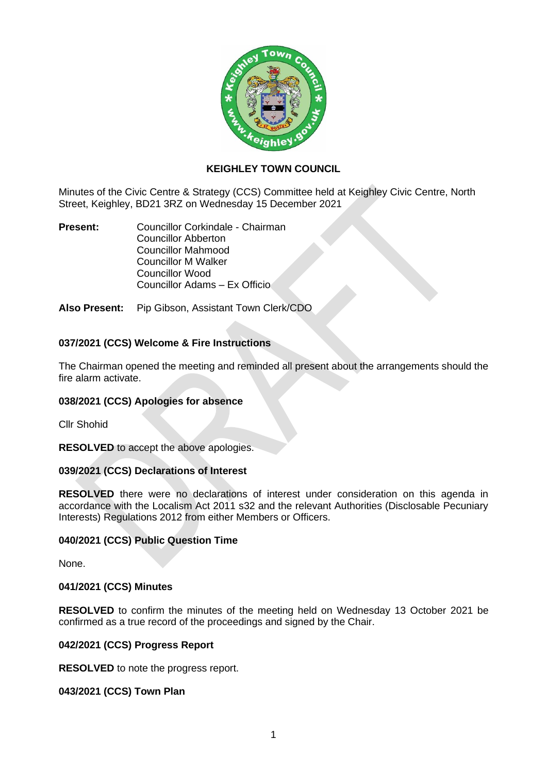

# **KEIGHLEY TOWN COUNCIL**

Minutes of the Civic Centre & Strategy (CCS) Committee held at Keighley Civic Centre, North Street, Keighley, BD21 3RZ on Wednesday 15 December 2021

**Present:** Councillor Corkindale - Chairman Councillor Abberton Councillor Mahmood Councillor M Walker Councillor Wood Councillor Adams – Ex Officio

**Also Present:** Pip Gibson, Assistant Town Clerk/CDO

# **037/2021 (CCS) Welcome & Fire Instructions**

The Chairman opened the meeting and reminded all present about the arrangements should the fire alarm activate.

### **038/2021 (CCS) Apologies for absence**

Cllr Shohid

**RESOLVED** to accept the above apologies.

### **039/2021 (CCS) Declarations of Interest**

**RESOLVED** there were no declarations of interest under consideration on this agenda in accordance with the Localism Act 2011 s32 and the relevant Authorities (Disclosable Pecuniary Interests) Regulations 2012 from either Members or Officers.

# **040/2021 (CCS) Public Question Time**

None.

#### **041/2021 (CCS) Minutes**

**RESOLVED** to confirm the minutes of the meeting held on Wednesday 13 October 2021 be confirmed as a true record of the proceedings and signed by the Chair.

#### **042/2021 (CCS) Progress Report**

**RESOLVED** to note the progress report.

### **043/2021 (CCS) Town Plan**